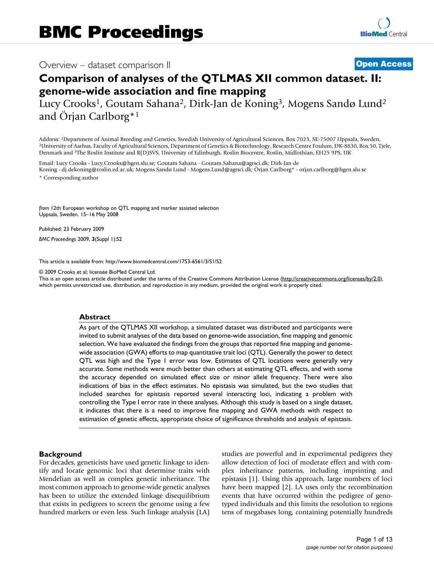Overview – dataset comparison II **[Open Access](http://www.biomedcentral.com/info/about/charter/)**

# **Comparison of analyses of the QTLMAS XII common dataset. II: genome-wide association and fine mapping**

Lucy Crooks<sup>1</sup>, Goutam Sahana<sup>2</sup>, Dirk-Jan de Koning<sup>3</sup>, Mogens Sandø Lund<sup>2</sup> and Örjan Carlborg\*1

Address: <sup>1</sup>Department of Animal Breeding and Genetics, Swedish University of Agricultural Sciences, Box 7023, SE-75007 Uppsala, Sweden,<br><sup>2</sup>University of Aarhus, Faculty of Agricultural Sciences, Department of Genetics & B Denmark and 3The Roslin Institute and R(D)SVS, University of Edinburgh, Roslin Biocentre, Roslin, Midlothian, EH25 9PS, UK

Email: Lucy Crooks - Lucy.Crooks@hgen.slu.se; Goutam Sahana - Goutam.Sahana@agrsci.dk; Dirk-Jan de Koning - dj.dekoning@roslin.ed.ac.uk; Mogens Sandø Lund - Mogens.Lund@agrsci.dk; Örjan Carlborg\* - orjan.carlborg@hgen.slu.se \* Corresponding author

*from* 12th European workshop on QTL mapping and marker assisted selection Uppsala, Sweden. 15–16 May 2008

Published: 23 February 2009

*BMC Proceedings* 2009, **3**(Suppl 1):S2

[This article is available from: http://www.biomedcentral.com/1753-6561/3/S1/S2](http://www.biomedcentral.com/1753-6561/3/S1/S2)

© 2009 Crooks et al; licensee BioMed Central Ltd.

This is an open access article distributed under the terms of the Creative Commons Attribution License [\(http://creativecommons.org/licenses/by/2.0\)](http://creativecommons.org/licenses/by/2.0), which permits unrestricted use, distribution, and reproduction in any medium, provided the original work is properly cited.

# **Abstract**

As part of the QTLMAS XII workshop, a simulated dataset was distributed and participants were invited to submit analyses of the data based on genome-wide association, fine mapping and genomic selection. We have evaluated the findings from the groups that reported fine mapping and genomewide association (GWA) efforts to map quantitative trait loci (QTL). Generally the power to detect QTL was high and the Type 1 error was low. Estimates of QTL locations were generally very accurate. Some methods were much better than others at estimating QTL effects, and with some the accuracy depended on simulated effect size or minor allele frequency. There were also indications of bias in the effect estimates. No epistasis was simulated, but the two studies that included searches for epistasis reported several interacting loci, indicating a problem with controlling the Type I error rate in these analyses. Although this study is based on a single dataset, it indicates that there is a need to improve fine mapping and GWA methods with respect to estimation of genetic effects, appropriate choice of significance thresholds and analysis of epistasis.

## **Background**

For decades, geneticists have used genetic linkage to identify and locate genomic loci that determine traits with Mendelian as well as complex genetic inheritance. The most common approach to genome-wide genetic analyses has been to utilize the extended linkage disequilibrium that exists in pedigrees to screen the genome using a few hundred markers or even less. Such linkage analysis (LA) studies are powerful and in experimental pedigrees they allow detection of loci of moderate effect and with complex inheritance patterns, including imprinting and epistasis [1]. Using this approach, large numbers of loci have been mapped [2]. LA uses only the recombination events that have occurred within the pedigree of genotyped individuals and this limits the resolution to regions tens of megabases long, containing potentially hundreds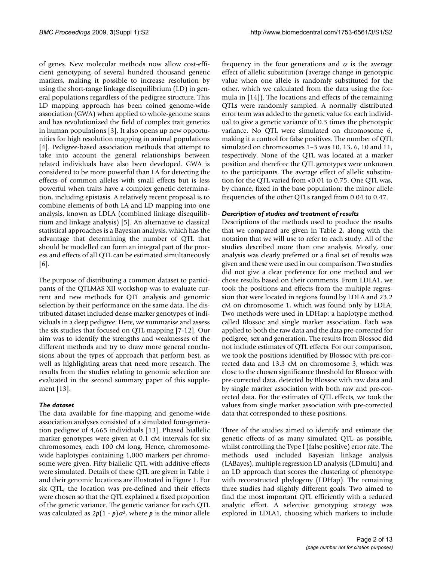of genes. New molecular methods now allow cost-efficient genotyping of several hundred thousand genetic markers, making it possible to increase resolution by using the short-range linkage disequilibrium (LD) in general populations regardless of the pedigree structure. This LD mapping approach has been coined genome-wide association (GWA) when applied to whole-genome scans and has revolutionized the field of complex trait genetics in human populations [3]. It also opens up new opportunities for high resolution mapping in animal populations [4]. Pedigree-based association methods that attempt to take into account the general relationships between related individuals have also been developed. GWA is considered to be more powerful than LA for detecting the effects of common alleles with small effects but is less powerful when traits have a complex genetic determination, including epistasis. A relatively recent proposal is to combine elements of both LA and LD mapping into one analysis, known as LDLA (combined linkage disequilibrium and linkage analysis) [5]. An alternative to classical statistical approaches is a Bayesian analysis, which has the advantage that determining the number of QTL that should be modelled can form an integral part of the process and effects of all QTL can be estimated simultaneously [6].

The purpose of distributing a common dataset to participants of the QTLMAS XII workshop was to evaluate current and new methods for QTL analysis and genomic selection by their performance on the same data. The distributed dataset included dense marker genotypes of individuals in a deep pedigree. Here, we summarise and assess the six studies that focused on QTL mapping [7-12]. Our aim was to identify the strengths and weaknesses of the different methods and try to draw more general conclusions about the types of approach that perform best, as well as highlighting areas that need more research. The results from the studies relating to genomic selection are evaluated in the second summary paper of this supplement [13].

## *The dataset*

The data available for fine-mapping and genome-wide association analyses consisted of a simulated four-generation pedigree of 4,665 individuals [13]. Phased biallelic marker genotypes were given at 0.1 cM intervals for six chromosomes, each 100 cM long. Hence, chromosomewide haplotypes containing 1,000 markers per chromosome were given. Fifty biallelic QTL with additive effects were simulated. Details of these QTL are given in Table 1 and their genomic locations are illustrated in Figure 1. For six QTL, the location was pre-defined and their effects were chosen so that the QTL explained a fixed proportion of the genetic variance. The genetic variance for each QTL was calculated as  $2p(1 - p)\alpha^2$ , where p is the minor allele

frequency in the four generations and  $\alpha$  is the average effect of allelic substitution (average change in genotypic value when one allele is randomly substituted for the other, which we calculated from the data using the formula in [14]). The locations and effects of the remaining QTLs were randomly sampled. A normally distributed error term was added to the genetic value for each individual to give a genetic variance of 0.3 times the phenotypic variance. No QTL were simulated on chromosome 6, making it a control for false positives. The number of QTL simulated on chromosomes 1–5 was 10, 13, 6, 10 and 11, respectively. None of the QTL was located at a marker position and therefore the QTL genotypes were unknown to the participants. The average effect of allelic substitution for the QTL varied from <0.01 to 0.75. One QTL was, by chance, fixed in the base population; the minor allele frequencies of the other QTLs ranged from 0.04 to 0.47.

# *Description of studies and treatment of results*

Descriptions of the methods used to produce the results that we compared are given in Table 2, along with the notation that we will use to refer to each study. All of the studies described more than one analysis. Mostly, one analysis was clearly preferred or a final set of results was given and these were used in our comparison. Two studies did not give a clear preference for one method and we chose results based on their comments. From LDLA1, we took the positions and effects from the multiple regression that were located in regions found by LDLA and 23.2 cM on chromosome 1, which was found only by LDLA. Two methods were used in LDHap: a haplotype method called Blossoc and single marker association. Each was applied to both the raw data and the data pre-corrected for pedigree, sex and generation. The results from Blossoc did not include estimates of QTL effects. For our comparison, we took the positions identified by Blossoc with pre-corrected data and 13.3 cM on chromosome 3, which was close to the chosen significance threshold for Blossoc with pre-corrected data, detected by Blossoc with raw data and by single marker association with both raw and pre-corrected data. For the estimates of QTL effects, we took the values from single marker association with pre-corrected data that corresponded to these positions.

Three of the studies aimed to identify and estimate the genetic effects of as many simulated QTL as possible, whilst controlling the Type I (false positive) error rate. The methods used included Bayesian linkage analysis (LABayes), multiple regression LD analysis (LDmulti) and an LD approach that scores the clustering of phenotype with reconstructed phylogeny (LDHap). The remaining three studies had slightly different goals. Two aimed to find the most important QTL efficiently with a reduced analytic effort. A selective genotyping strategy was explored in LDLA1, choosing which markers to include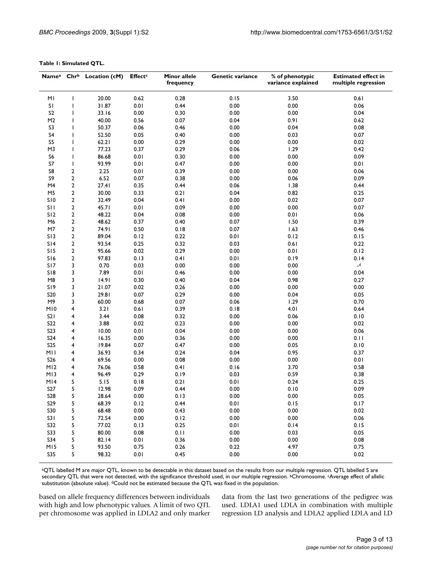| Table 1: Simulated QTL. |
|-------------------------|
|-------------------------|

|                  |                         | Name <sup>a</sup> Chr <sup>b</sup> Location (cM) | <b>Effect<sup>c</sup></b> | Minor allele<br>frequency | <b>Genetic variance</b> | % of phenotypic<br>variance explained | <b>Estimated effect in</b><br>multiple regression |  |  |
|------------------|-------------------------|--------------------------------------------------|---------------------------|---------------------------|-------------------------|---------------------------------------|---------------------------------------------------|--|--|
| MI               | I                       | 20.00                                            | 0.62                      | 0.28                      | 0.15                    | 3.50                                  | 0.61                                              |  |  |
| SI.              | L                       | 31.87                                            | 0.01                      | 0.44                      | 0.00                    | 0.00                                  | 0.06                                              |  |  |
| S <sub>2</sub>   | I                       | 33.16                                            | 0.00                      | 0.30                      | 0.00                    | 0.00                                  | 0.04                                              |  |  |
| M <sub>2</sub>   | L                       | 40.00                                            | 0.56                      | 0.07                      | 0.04                    | 0.91                                  | 0.62                                              |  |  |
| S3               | L                       | 50.37                                            | 0.06                      | 0.46                      | 0.00                    | 0.04                                  | 0.08                                              |  |  |
| S4               | I                       | 52.50                                            | 0.05                      | 0.40                      | 0.00                    | 0.03                                  | 0.07                                              |  |  |
| S5               | L                       | 62.21                                            | 0.00                      | 0.29                      | 0.00                    | 0.00                                  | 0.02                                              |  |  |
| M <sub>3</sub>   | L                       | 77.23                                            | 0.37                      | 0.29                      | 0.06                    | 1.29                                  | 0.42                                              |  |  |
| S6               | L                       | 86.68                                            | 0.01                      | 0.30                      | 0.00                    | 0.00                                  | 0.09                                              |  |  |
| S7               | T                       | 93.99                                            | 0.01                      | 0.47                      | 0.00                    | 0.00                                  | 0.01                                              |  |  |
| S8               | $\overline{\mathbf{c}}$ | 2.25                                             | 0.01                      | 0.39                      | 0.00                    | 0.00                                  | 0.06                                              |  |  |
| S9               | $\overline{a}$          | 6.52                                             | 0.07                      | 0.38                      | 0.00                    | 0.06                                  | 0.09                                              |  |  |
| M4               | $\mathbf{2}$            | 27.41                                            | 0.35                      | 0.44                      | 0.06                    | 1.38                                  | 0.44                                              |  |  |
| M5               | $\overline{\mathbf{c}}$ | 30.00                                            | 0.33                      | 0.21                      | 0.04                    | 0.82                                  | 0.25                                              |  |  |
| SI0              | $\mathbf{2}$            | 32.49                                            | 0.04                      | 0.41                      | 0.00                    | 0.02                                  | 0.07                                              |  |  |
| <b>SII</b>       | $\mathbf{2}$            | 45.71                                            | 0.01                      | 0.09                      | 0.00                    | 0.00                                  | 0.07                                              |  |  |
| S12              | $\mathbf{2}$            | 48.22                                            | 0.04                      | 0.08                      | 0.00                    | 0.01                                  | 0.06                                              |  |  |
| M <sub>6</sub>   | $\overline{2}$          | 48.62                                            | 0.37                      | 0.40                      | 0.07                    | 1.50                                  | 0.39                                              |  |  |
| M7               | $\mathbf{2}$            | 74.91                                            | 0.50                      | 0.18                      | 0.07                    | 1.63                                  | 0.46                                              |  |  |
| S13              | $\mathbf{2}$            | 89.04                                            | 0.12                      | 0.22                      | 0.01                    | 0.12                                  | 0.15                                              |  |  |
| S14              | $\mathbf{2}$            | 93.54                                            | 0.25                      | 0.32                      | 0.03                    | 0.61                                  | 0.22                                              |  |  |
| S15              | $\overline{2}$          | 95.66                                            | 0.02                      | 0.29                      | 0.00                    | 0.01                                  | 0.12                                              |  |  |
| <b>SI6</b>       | $\mathbf{2}$            | 97.83                                            | 0.13                      | 0.41                      | 0.01                    | 0.19                                  | 0.14                                              |  |  |
| SI <sub>7</sub>  | 3                       | 0.70                                             | 0.03                      | 0.00                      | 0.00                    | 0.00                                  | $\mathsf d$                                       |  |  |
| <b>SI8</b>       | 3                       | 7.89                                             | 0.01                      | 0.46                      | 0.00                    | 0.00                                  | 0.04                                              |  |  |
| M8               | 3                       | 14.91                                            | 0.30                      | 0.40                      | 0.04                    | 0.98                                  | 0.27                                              |  |  |
| S19              | 3                       | 21.07                                            | 0.02                      | 0.26                      | 0.00                    | 0.00                                  | 0.00                                              |  |  |
| <b>S20</b>       | 3                       | 29.81                                            | 0.07                      | 0.29                      | 0.00                    | 0.04                                  | 0.05                                              |  |  |
| M9               | 3                       | 60.00                                            | 0.68                      | 0.07                      | 0.06                    | 1.29                                  | 0.70                                              |  |  |
| M10              | 4                       | 3.21                                             | 0.61                      | 0.39                      | 0.18                    | 4.01                                  | 0.64                                              |  |  |
| S21              | 4                       | 3.44                                             | 0.08                      | 0.32                      | 0.00                    | 0.06                                  | 0.10                                              |  |  |
| S <sub>22</sub>  | 4                       | 3.88                                             | 0.02                      | 0.23                      | 0.00                    | 0.00                                  | 0.02                                              |  |  |
|                  | 4                       | 10.00                                            | 0.01                      | 0.04                      | 0.00                    | 0.00                                  | 0.06                                              |  |  |
| S <sub>2</sub> 3 |                         |                                                  |                           |                           |                         |                                       |                                                   |  |  |
| S <sub>24</sub>  | 4                       | 16.35                                            | 0.00                      | 0.36                      | 0.00                    | 0.00                                  | 0.11                                              |  |  |
| <b>S25</b>       | 4<br>4                  | 19.84                                            | 0.07                      | 0.47                      | 0.00                    | 0.05                                  | 0.10                                              |  |  |
| MII              |                         | 36.93                                            | 0.34                      | 0.24                      | 0.04                    | 0.95                                  | 0.37                                              |  |  |
| \$26             | 4                       | 69.56                                            | 0.00                      | 0.08                      | 0.00                    | 0.00                                  | 0.01                                              |  |  |
| M12              | 4                       | 76.06                                            | 0.58                      | 0.41                      | 0.16                    | 3.70                                  | 0.58                                              |  |  |
| M13              | 4                       | 96.49                                            | 0.29                      | 0.19                      | 0.03                    | 0.59                                  | 0.38                                              |  |  |
| M14              | 5                       | 5.15                                             | 0.18                      | 0.21                      | 0.01                    | 0.24                                  | 0.25                                              |  |  |
| <b>S27</b>       | 5                       | 12.98                                            | 0.09                      | 0.44                      | 0.00                    | 0.10                                  | 0.09                                              |  |  |
| <b>S28</b>       | 5                       | 28.64                                            | 0.00                      | 0.13                      | 0.00                    | 0.00                                  | 0.05                                              |  |  |
| S <sub>29</sub>  | 5                       | 68.39                                            | 0.12                      | 0.44                      | 0.01                    | 0.15                                  | 0.17                                              |  |  |
| S30              | 5                       | 68.48                                            | 0.00                      | 0.43                      | 0.00                    | 0.00                                  | 0.02                                              |  |  |
| S31              | 5                       | 72.54                                            | 0.00                      | 0.12                      | 0.00                    | 0.00                                  | 0.06                                              |  |  |
| <b>S32</b>       | 5                       | 77.02                                            | 0.13                      | 0.25                      | 0.01                    | 0.14                                  | 0.15                                              |  |  |
| <b>S33</b>       | 5                       | 80.00                                            | 0.08                      | 0.11                      | 0.00                    | 0.03                                  | 0.05                                              |  |  |
| S34              | 5                       | 82.14                                            | 0.01                      | 0.36                      | 0.00                    | 0.00                                  | 0.08                                              |  |  |
| M15              | 5                       | 93.50                                            | 0.75                      | 0.26                      | 0.22                    | 4.97                                  | 0.75                                              |  |  |
| <b>S35</b>       | 5                       | 98.32                                            | 0.01                      | 0.45                      | 0.00                    | 0.00                                  | 0.02                                              |  |  |

aQTL labelled M are major QTL, known to be detectable in this dataset based on the results from our multiple regression. QTL labelled S are secondary QTL that were not detected, with the significance threshold used, in our multiple regression. <sup>b</sup>Chromosome. <sup>c</sup>Average effect of allelic substitution (absolute value). <sup>d</sup>Could not be estimated because the QTL was fixed in the population.

based on allele frequency differences between individuals with high and low phenotypic values. A limit of two QTL per chromosome was applied in LDLA2 and only marker data from the last two generations of the pedigree was used. LDLA1 used LDLA in combination with multiple regression LD analysis and LDLA2 applied LDLA and LD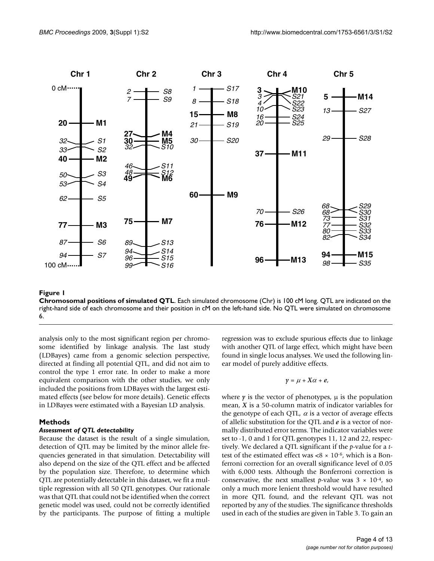

**Chromosomal positions of simulated QTL**. Each simulated chromosome (Chr) is 100 cM long. QTL are indicated on the right-hand side of each chromosome and their position in cM on the left-hand side. No QTL were simulated on chromosome 6.

analysis only to the most significant region per chromosome identified by linkage analysis. The last study (LDBayes) came from a genomic selection perspective, directed at finding all potential QTL, and did not aim to control the type 1 error rate. In order to make a more equivalent comparison with the other studies, we only included the positions from LDBayes with the largest estimated effects (see below for more details). Genetic effects in LDBayes were estimated with a Bayesian LD analysis.

## **Methods**

#### *Assessment of QTL detectability*

Because the dataset is the result of a single simulation, detection of QTL may be limited by the minor allele frequencies generated in that simulation. Detectability will also depend on the size of the QTL effect and be affected by the population size. Therefore, to determine which QTL are potentially detectable in this dataset, we fit a multiple regression with all 50 QTL genotypes. Our rationale was that QTL that could not be identified when the correct genetic model was used, could not be correctly identified by the participants. The purpose of fitting a multiple regression was to exclude spurious effects due to linkage with another QTL of large effect, which might have been found in single locus analyses. We used the following linear model of purely additive effects.

$$
\gamma = \mu + X\alpha + e,
$$

where  $\gamma$  is the vector of phenotypes,  $\mu$  is the population mean, *X* is a 50-column matrix of indicator variables for the genotype of each QTL,  $\alpha$  is a vector of average effects of allelic substitution for the QTL and *e* is a vector of normally distributed error terms. The indicator variables were set to -1, 0 and 1 for QTL genotypes 11, 12 and 22, respectively. We declared a QTL significant if the *p*-value for a *t*test of the estimated effect was  $<8 \times 10^{-6}$ , which is a Bonferroni correction for an overall significance level of 0.05 with 6,000 tests. Although the Bonferroni correction is conservative, the next smallest *p*-value was  $3 \times 10^{-4}$ , so only a much more lenient threshold would have resulted in more QTL found, and the relevant QTL was not reported by any of the studies. The significance thresholds used in each of the studies are given in Table 3. To gain an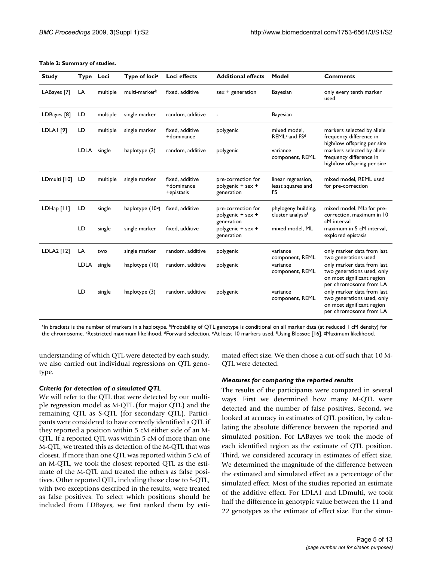| <b>Study</b>         | Type Loci   |          | Type of locia                | Loci effects                                | <b>Additional effects</b>                             | Model                                                 | <b>Comments</b>                                                                                                  |  |  |  |
|----------------------|-------------|----------|------------------------------|---------------------------------------------|-------------------------------------------------------|-------------------------------------------------------|------------------------------------------------------------------------------------------------------------------|--|--|--|
| LABayes [7]          | LA          | multiple | multi-marker <sup>b</sup>    | fixed, additive                             | $sex + generation$                                    | Bayesian                                              | only every tenth marker<br>used                                                                                  |  |  |  |
| LDBayes [8]          | LD          | multiple | single marker                | random, additive                            |                                                       | Bayesian                                              |                                                                                                                  |  |  |  |
| LDLAI <sup>[9]</sup> | LD          | multiple | single marker                | fixed, additive<br>+dominance               | polygenic                                             | mixed model,<br>REML <sup>c</sup> and FS <sup>d</sup> | markers selected by allele<br>frequency difference in<br>high/low offspring per sire                             |  |  |  |
|                      | LDLA        | single   | haplotype (2)                | random, additive                            | polygenic                                             | variance<br>component, REML                           | markers selected by allele<br>frequency difference in<br>high/low offspring per sire                             |  |  |  |
| LDmulti [10]         | LD          | multiple | single marker                | fixed, additive<br>+dominance<br>+epistasis | pre-correction for<br>polygenic + sex +<br>generation | linear regression,<br>least squares and<br>FS         | mixed model, REML used<br>for pre-correction                                                                     |  |  |  |
| LDHap [11]           | LD          | single   | haplotype (10 <sup>e</sup> ) | fixed, additive                             | pre-correction for<br>polygenic + sex +<br>generation | phylogeny building,<br>cluster analysisf              | mixed model, ML <sup>g</sup> for pre-<br>correction, maximum in 10<br>cM interval                                |  |  |  |
|                      | LD          | single   | single marker                | fixed, additive                             | polygenic + sex +<br>generation                       | mixed model, ML                                       | maximum in 5 cM interval.<br>explored epistasis                                                                  |  |  |  |
| LDLA2 [12]           | LA          | two      | single marker                | random, additive                            | polygenic                                             | variance<br>component, REML                           | only marker data from last<br>two generations used                                                               |  |  |  |
|                      | <b>LDLA</b> | single   | haplotype (10)               | random, additive                            | polygenic                                             | variance<br>component, REML                           | only marker data from last<br>two generations used, only<br>on most significant region<br>per chromosome from LA |  |  |  |
|                      | LD          | single   | haplotype (3)                | random, additive                            | polygenic                                             | variance<br>component, REML                           | only marker data from last<br>two generations used, only<br>on most significant region<br>per chromosome from LA |  |  |  |

#### **Table 2: Summary of studies.**

aIn brackets is the number of markers in a haplotype. **Probability of QTL** genotype is conditional on all marker data (at reduced 1 cM density) for the chromosome. cRestricted maximum likelihood. dForward selection. eAt least 10 markers used. f Using Blossoc [16]. gMaximum likelihood.

understanding of which QTL were detected by each study, we also carried out individual regressions on QTL genotype.

#### *Criteria for detection of a simulated QTL*

We will refer to the QTL that were detected by our multiple regression model as M-QTL (for major QTL) and the remaining QTL as S-QTL (for secondary QTL). Participants were considered to have correctly identified a QTL if they reported a position within 5 cM either side of an M-QTL. If a reported QTL was within 5 cM of more than one M-QTL, we treated this as detection of the M-QTL that was closest. If more than one QTL was reported within 5 cM of an M-QTL, we took the closest reported QTL as the estimate of the M-QTL and treated the others as false positives. Other reported QTL, including those close to S-QTL, with two exceptions described in the results, were treated as false positives. To select which positions should be included from LDBayes, we first ranked them by estimated effect size. We then chose a cut-off such that 10 M-QTL were detected.

#### *Measures for comparing the reported results*

The results of the participants were compared in several ways. First we determined how many M-QTL were detected and the number of false positives. Second, we looked at accuracy in estimates of QTL position, by calculating the absolute difference between the reported and simulated position. For LABayes we took the mode of each identified region as the estimate of QTL position. Third, we considered accuracy in estimates of effect size. We determined the magnitude of the difference between the estimated and simulated effect as a percentage of the simulated effect. Most of the studies reported an estimate of the additive effect. For LDLA1 and LDmulti, we took half the difference in genotypic value between the 11 and 22 genotypes as the estimate of effect size. For the simu-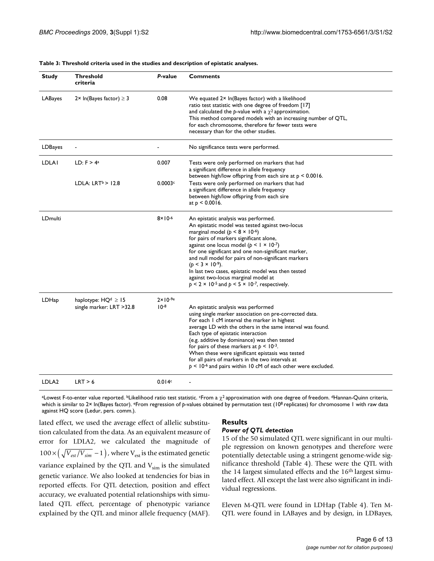#### **Table 3: Threshold criteria used in the studies and description of epistatic analyses.**

| <b>Study</b>      | Threshold<br>criteria                               | P-value                          | <b>Comments</b>                                                                                                                                                                                                                                                                                                                                                                                                                                                                                                                                   |
|-------------------|-----------------------------------------------------|----------------------------------|---------------------------------------------------------------------------------------------------------------------------------------------------------------------------------------------------------------------------------------------------------------------------------------------------------------------------------------------------------------------------------------------------------------------------------------------------------------------------------------------------------------------------------------------------|
| <b>LABayes</b>    | $2 \times \ln(Bayes factor) \geq 3$                 | 0.08                             | We equated 2× In(Bayes factor) with a likelihood<br>ratio test statistic with one degree of freedom [17]<br>and calculated the p-value with a $\chi^2$ approximation.<br>This method compared models with an increasing number of QTL,<br>for each chromosome, therefore far fewer tests were<br>necessary than for the other studies.                                                                                                                                                                                                            |
| <b>LDBayes</b>    |                                                     |                                  | No significance tests were performed.                                                                                                                                                                                                                                                                                                                                                                                                                                                                                                             |
| LDLAI             | LD: F > 4a                                          | 0.007                            | Tests were only performed on markers that had<br>a significant difference in allele frequency<br>between high/low offspring from each sire at $p < 0.0016$ .                                                                                                                                                                                                                                                                                                                                                                                      |
|                   | LDLA: $LRT^b$ > 12.8                                | 0.0003c                          | Tests were only performed on markers that had<br>a significant difference in allele frequency<br>between high/low offspring from each sire<br>at $p < 0.0016$ .                                                                                                                                                                                                                                                                                                                                                                                   |
| LDmulti           |                                                     | $8 \times 10^{-6}$               | An epistatic analysis was performed.<br>An epistatic model was tested against two-locus<br>marginal model ( $p < 8 \times 10^{-6}$ )<br>for pairs of markers significant alone,<br>against one locus model $(p <   \times 10^{-7})$<br>for one significant and one non-significant marker,<br>and null model for pairs of non-significant markers<br>$(p < 3 \times 10^{-9})$ .<br>In last two cases, epistatic model was then tested<br>against two-locus marginal model at<br>$p < 2 \times 10^{-5}$ and $p < 5 \times 10^{-7}$ , respectively. |
| LDHap             | haplotype: $HQd \ge 15$<br>single marker: LRT >32.8 | $2 \times 10^{-9e}$<br>$10^{-8}$ | An epistatic analysis was performed<br>using single marker association on pre-corrected data.<br>For each I cM interval the marker in highest<br>average LD with the others in the same interval was found.<br>Each type of epistatic interaction<br>(e.g. additive by dominance) was then tested<br>for pairs of these markers at $p < 10^{-3}$ .<br>When these were significant epistasis was tested<br>for all pairs of markers in the two intervals at<br>$p < 10^{-6}$ and pairs within 10 cM of each other were excluded.                   |
| LDLA <sub>2</sub> | LRT > 6                                             | 0.014c                           |                                                                                                                                                                                                                                                                                                                                                                                                                                                                                                                                                   |

<sup>a</sup>Lowest F-to-enter value reported. <sup>b</sup>Likelihood ratio test statistic. <sup>c</sup>From a χ<sup>2</sup> approximation with one degree of freedom. <sup>d</sup>Hannan-Quinn criteria, which is similar to 2× ln(Bayes factor). <sup>e</sup>From regression of *p*-values obtained by permutation test (10<sup>8</sup> replicates) for chromosome 1 with raw data against HQ score (Ledur, pers. comm.).

lated effect, we used the average effect of allelic substitution calculated from the data. As an equivalent measure of error for LDLA2, we calculated the magnitude of  $100 \times (\sqrt{V_{est}/V_{sim}} - 1)$ , where  $V_{est}$  is the estimated genetic variance explained by the QTL and  $V_{sim}$  is the simulated genetic variance. We also looked at tendencies for bias in reported effects. For QTL detection, position and effect accuracy, we evaluated potential relationships with simulated QTL effect, percentage of phenotypic variance explained by the QTL and minor allele frequency (MAF).

## **Results**

#### *Power of QTL detection*

15 of the 50 simulated QTL were significant in our multiple regression on known genotypes and therefore were potentially detectable using a stringent genome-wide significance threshold (Table 4). These were the QTL with the 14 largest simulated effects and the 16<sup>th</sup> largest simulated effect. All except the last were also significant in individual regressions.

Eleven M-QTL were found in LDHap (Table 4). Ten M-QTL were found in LABayes and by design, in LDBayes,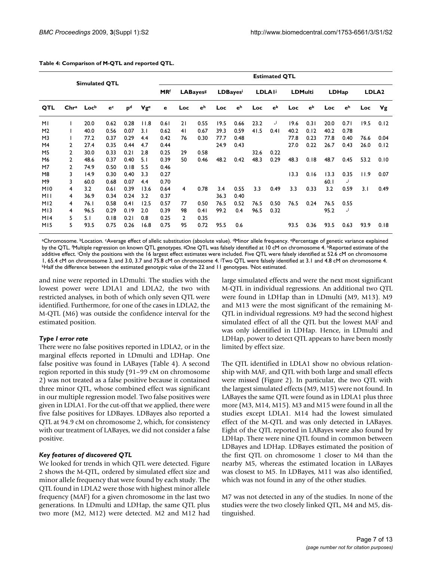|                      |                  |      |                |      |                                          | <b>Estimated QTL</b> |                                 |                |      |                |      |              |      |                   |      |                |      |      |
|----------------------|------------------|------|----------------|------|------------------------------------------|----------------------|---------------------------------|----------------|------|----------------|------|--------------|------|-------------------|------|----------------|------|------|
| <b>Simulated QTL</b> |                  |      |                |      | <b>MRf</b><br><b>LABayes<sup>g</sup></b> |                      | <b>LDLAI</b><br><b>LDBayesi</b> |                |      | <b>LDMulti</b> |      | <b>LDHap</b> |      | LDLA <sub>2</sub> |      |                |      |      |
| QTL                  | Chr <sub>a</sub> | Locb | e <sub>c</sub> | pd   | Vge                                      | e                    | Loc                             | e <sup>h</sup> | Loc  | e <sup>h</sup> | Loc  | $e^{k}$      | Loc  | $e^{k}$           | Loc  | e <sup>h</sup> | Loc  | Vg   |
| ΜI                   |                  | 20.0 | 0.62           | 0.28 | 11.8                                     | 0.61                 | 21                              | 0.55           | 19.5 | 0.66           | 23.2 | L.           | 19.6 | 0.31              | 20.0 | 0.71           | 19.5 | 0.12 |
| M <sub>2</sub>       |                  | 40.0 | 0.56           | 0.07 | 3.1                                      | 0.62                 | 41                              | 0.67           | 39.3 | 0.59           | 41.5 | 0.41         | 40.2 | 0.12              | 40.2 | 0.78           |      |      |
| M <sub>3</sub>       |                  | 77.2 | 0.37           | 0.29 | 4.4                                      | 0.42                 | 76                              | 0.30           | 77.7 | 0.48           |      |              | 77.8 | 0.23              | 77.8 | 0.40           | 76.6 | 0.04 |
| M4                   | 2                | 27.4 | 0.35           | 0.44 | 4.7                                      | 0.44                 |                                 |                | 24.9 | 0.43           |      |              | 27.0 | 0.22              | 26.7 | 0.43           | 26.0 | 0.12 |
| M <sub>5</sub>       | 2                | 30.0 | 0.33           | 0.21 | 2.8                                      | 0.25                 | 29                              | 0.58           |      |                | 32.6 | 0.22         |      |                   |      |                |      |      |
| M6                   | 2                | 48.6 | 0.37           | 0.40 | 5.1                                      | 0.39                 | 50                              | 0.46           | 48.2 | 0.42           | 48.3 | 0.29         | 48.3 | 0.18              | 48.7 | 0.45           | 53.2 | 0.10 |
| M <sub>7</sub>       | 2                | 74.9 | 0.50           | 0.18 | 5.5                                      | 0.46                 |                                 |                |      |                |      |              |      |                   |      |                |      |      |
| M8                   | 3                | 14.9 | 0.30           | 0.40 | 3.3                                      | 0.27                 |                                 |                |      |                |      |              | 13.3 | 0.16              | 13.3 | 0.35           | 11.9 | 0.07 |
| M9                   | 3                | 60.0 | 0.68           | 0.07 | 4.4                                      | 0.70                 |                                 |                |      |                |      |              |      |                   | 60.1 | ᆡ              |      |      |
| M10                  | 4                | 3.2  | 0.61           | 0.39 | 13.6                                     | 0.64                 | 4                               | 0.78           | 3.4  | 0.55           | 3.3  | 0.49         | 3.3  | 0.33              | 3.2  | 0.59           | 3.1  | 0.49 |
| <b>MII</b>           | 4                | 36.9 | 0.34           | 0.24 | 3.2                                      | 0.37                 |                                 |                | 36.3 | 0.40           |      |              |      |                   |      |                |      |      |
| M12                  | 4                | 76.I | 0.58           | 0.41 | 12.5                                     | 0.57                 | 77                              | 0.50           | 76.5 | 0.52           | 76.5 | 0.50         | 76.5 | 0.24              | 76.5 | 0.55           |      |      |
| M <sub>13</sub>      | 4                | 96.5 | 0.29           | 0.19 | 2.0                                      | 0.39                 | 98                              | 0.41           | 99.2 | 0.4            | 96.5 | 0.32         |      |                   | 95.2 | 니              |      |      |
| M14                  | 5                | 5.1  | 0.18           | 0.21 | 0.8                                      | 0.25                 | $\mathbf{2}$                    | 0.35           |      |                |      |              |      |                   |      |                |      |      |
| M <sub>15</sub>      | 5                | 93.5 | 0.75           | 0.26 | 16.8                                     | 0.75                 | 95                              | 0.72           | 95.5 | 0.6            |      |              | 93.5 | 0.36              | 93.5 | 0.63           | 93.9 | 0.18 |

**Table 4: Comparison of M-QTL and reported QTL.**

aChromosome. <sup>b</sup>Location. <sup>c</sup>Average effect of allelic substitution (absolute value). <sup>d</sup>Minor allele frequency. <sup>e</sup>Percentage of genetic variance explained by the QTL. Multiple regression on known QTL genotypes. 8One QTL was falsely identified at 10 cM on chromosome 4. ʰReported estimate of the additive effect. i Only the positions with the 16 largest effect estimates were included. Five QTL were falsely identified at 52.6 cM on chromosome I, 65.4 cM on chromosome 3, and 3.0, 3.7 and 75.8 cM on chromosome 4. Two QTL were falsely identified at 3.1 and 4.8 cM on chromosome 4.<br><sup>k</sup>Half the difference between the estimated genotypic value of the 22 and 11 genotyp kHalf the difference between the estimated genotypic value of the 22 and 11 genotypes. 'Not estimated.

and nine were reported in LDmulti. The studies with the lowest power were LDLA1 and LDLA2, the two with restricted analyses, in both of which only seven QTL were identified. Furthermore, for one of the cases in LDLA2, the M-QTL (M6) was outside the confidence interval for the estimated position.

## *Type I error rate*

There were no false positives reported in LDLA2, or in the marginal effects reported in LDmulti and LDHap. One false positive was found in LABayes (Table 4). A second region reported in this study (91–99 cM on chromosome 2) was not treated as a false positive because it contained three minor QTL, whose combined effect was significant in our multiple regression model. Two false positives were given in LDLA1. For the cut-off that we applied, there were five false positives for LDBayes. LDBayes also reported a QTL at 94.9 cM on chromosome 2, which, for consistency with our treatment of LABayes, we did not consider a false positive.

## *Key features of discovered QTL*

We looked for trends in which QTL were detected. Figure 2 shows the M-QTL, ordered by simulated effect size and minor allele frequency that were found by each study. The QTL found in LDLA2 were those with highest minor allele frequency (MAF) for a given chromosome in the last two generations. In LDmulti and LDHap, the same QTL plus two more (M2, M12) were detected. M2 and M12 had large simulated effects and were the next most significant M-QTL in individual regressions. An additional two QTL were found in LDHap than in LDmulti (M9, M13). M9 and M13 were the most significant of the remaining M-QTL in individual regressions. M9 had the second highest simulated effect of all the QTL but the lowest MAF and was only identified in LDHap. Hence, in LDmulti and LDHap, power to detect QTL appears to have been mostly limited by effect size.

The QTL identified in LDLA1 show no obvious relationship with MAF, and QTL with both large and small effects were missed (Figure 2). In particular, the two QTL with the largest simulated effects (M9, M15) were not found. In LABayes the same QTL were found as in LDLA1 plus three more (M3, M14, M15). M3 and M15 were found in all the studies except LDLA1. M14 had the lowest simulated effect of the M-QTL and was only detected in LABayes. Eight of the QTL reported in LABayes were also found by LDHap. There were nine QTL found in common between LDBayes and LDHap. LDBayes estimated the position of the first QTL on chromosome 1 closer to M4 than the nearby M5, whereas the estimated location in LABayes was closest to M5. In LDBayes, M11 was also identified, which was not found in any of the other studies.

M7 was not detected in any of the studies. In none of the studies were the two closely linked QTL, M4 and M5, distinguished.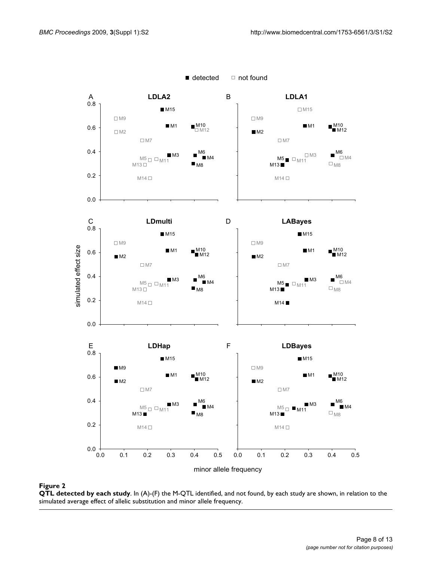

**QTL detected by each study**. In (A)-(F) the M-QTL identified, and not found, by each study are shown, in relation to the simulated average effect of allelic substitution and minor allele frequency.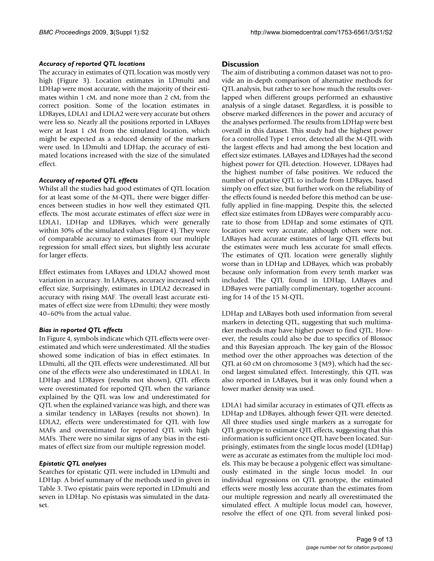## *Accuracy of reported QTL locations*

The accuracy in estimates of QTL location was mostly very high (Figure 3). Location estimates in LDmulti and LDHap were most accurate, with the majority of their estimates within 1 cM, and none more than 2 cM, from the correct position. Some of the location estimates in LDBayes, LDLA1 and LDLA2 were very accurate but others were less so. Nearly all the positions reported in LABayes were at least 1 cM from the simulated location, which might be expected as a reduced density of the markers were used. In LDmulti and LDHap, the accuracy of estimated locations increased with the size of the simulated effect.

#### *Accuracy of reported QTL effects*

Whilst all the studies had good estimates of QTL location for at least some of the M-QTL, there were bigger differences between studies in how well they estimated QTL effects. The most accurate estimates of effect size were in LDLA1, LDHap and LDBayes, which were generally within 30% of the simulated values (Figure 4). They were of comparable accuracy to estimates from our multiple regression for small effect sizes, but slightly less accurate for larger effects.

Effect estimates from LABayes and LDLA2 showed most variation in accuracy. In LABayes, accuracy increased with effect size. Surprisingly, estimates in LDLA2 decreased in accuracy with rising MAF. The overall least accurate estimates of effect size were from LDmulti; they were mostly 40–60% from the actual value.

#### *Bias in reported QTL effects*

In Figure 4, symbols indicate which QTL effects were overestimated and which were underestimated. All the studies showed some indication of bias in effect estimates. In LDmulti, all the QTL effects were underestimated. All but one of the effects were also underestimated in LDLA1. In LDHap and LDBayes (results not shown), QTL effects were overestimated for reported QTL when the variance explained by the QTL was low and underestimated for QTL when the explained variance was high, and there was a similar tendency in LABayes (results not shown). In LDLA2, effects were underestimated for QTL with low MAFs and overestimated for reported QTL with high MAFs. There were no similar signs of any bias in the estimates of effect size from our multiple regression model.

## *Epistatic QTL analyses*

Searches for epistatic QTL were included in LDmulti and LDHap. A brief summary of the methods used in given in Table 3. Two epistatic pairs were reported in LDmulti and seven in LDHap. No epistasis was simulated in the dataset.

#### **Discussion**

The aim of distributing a common dataset was not to provide an in-depth comparison of alternative methods for QTL analysis, but rather to see how much the results overlapped when different groups performed an exhaustive analysis of a single dataset. Regardless, it is possible to observe marked differences in the power and accuracy of the analyses performed. The results from LDHap were best overall in this dataset. This study had the highest power for a controlled Type 1 error, detected all the M-QTL with the largest effects and had among the best location and effect size estimates. LABayes and LDBayes had the second highest power for QTL detection. However, LDBayes had the highest number of false positives. We reduced the number of putative QTL to include from LDBayes, based simply on effect size, but further work on the reliability of the effects found is needed before this method can be usefully applied in fine-mapping. Despite this, the selected effect size estimates from LDBayes were comparably accurate to those from LDHap and some estimates of QTL location were very accurate, although others were not. LABayes had accurate estimates of large QTL effects but the estimates were much less accurate for small effects. The estimates of QTL location were generally slightly worse than in LDHap and LDBayes, which was probably because only information from every tenth marker was included. The QTL found in LDHap, LABayes and LDBayes were partially complimentary, together accounting for 14 of the 15 M-QTL.

LDHap and LABayes both used information from several markers in detecting QTL, suggesting that such multimarker methods may have higher power to find QTL. However, the results could also be due to specifics of Blossoc and this Bayesian approach. The key gain of the Blossoc method over the other approaches was detection of the QTL at 60 cM on chromosome 3 (M9), which had the second largest simulated effect. Interestingly, this QTL was also reported in LABayes, but it was only found when a lower marker density was used.

LDLA1 had similar accuracy in estimates of QTL effects as LDHap and LDBayes, although fewer QTL were detected. All three studies used single markers as a surrogate for QTL genotype to estimate QTL effects, suggesting that this information is sufficient once QTL have been located. Surprisingly, estimates from the single locus model (LDHap) were as accurate as estimates from the multiple loci models. This may be because a polygenic effect was simultaneously estimated in the single locus model. In our individual regressions on QTL genotype, the estimated effects were mostly less accurate than the estimates from our multiple regression and nearly all overestimated the simulated effect. A multiple locus model can, however, resolve the effect of one QTL from several linked posi-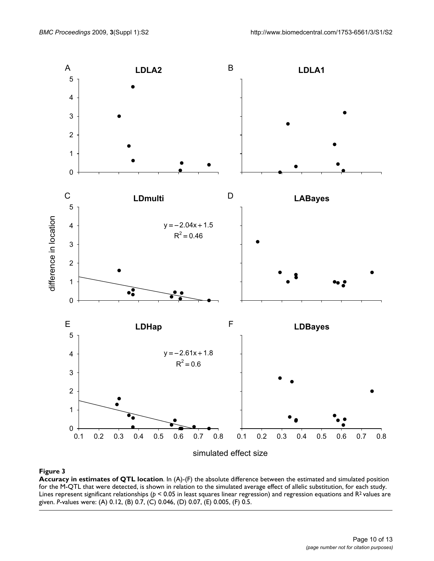

**Accuracy in estimates of QTL location**. In (A)-(F) the absolute difference between the estimated and simulated position for the M-QTL that were detected, is shown in relation to the simulated average effect of allelic substitution, for each study. Lines represent significant relationships (*p* < 0.05 in least squares linear regression) and regression equations and R2 values are given. *P*-values were: (A) 0.12, (B) 0.7, (C) 0.046, (D) 0.07, (E) 0.005, (F) 0.5.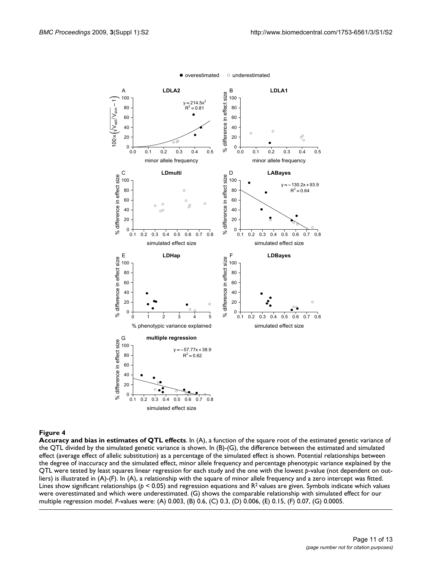

**Accuracy and bias in estimates of QTL effects**. In (A), a function of the square root of the estimated genetic variance of the QTL divided by the simulated genetic variance is shown. In (B)-(G), the difference between the estimated and simulated effect (average effect of allelic substitution) as a percentage of the simulated effect is shown. Potential relationships between the degree of inaccuracy and the simulated effect, minor allele frequency and percentage phenotypic variance explained by the QTL were tested by least squares linear regression for each study and the one with the lowest *p*-value (not dependent on outliers) is illustrated in (A)-(F). In (A), a relationship with the square of minor allele frequency and a zero intercept was fitted. Lines show significant relationships (*p* < 0.05) and regression equations and R2 values are given. Symbols indicate which values were overestimated and which were underestimated. (G) shows the comparable relationship with simulated effect for our multiple regression model. *P*-values were: (A) 0.003, (B) 0.6, (C) 0.3, (D) 0.006, (E) 0.15, (F) 0.07, (G) 0.0005.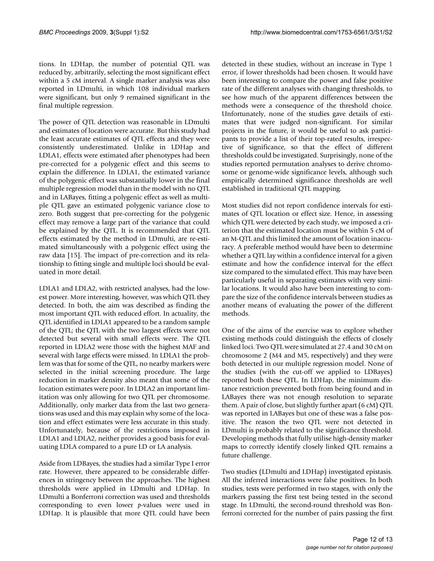tions. In LDHap, the number of potential QTL was reduced by, arbitrarily, selecting the most significant effect within a 5 cM interval. A single marker analysis was also reported in LDmulti, in which 108 individual markers were significant, but only 9 remained significant in the final multiple regression.

The power of QTL detection was reasonable in LDmulti and estimates of location were accurate. But this study had the least accurate estimates of QTL effects and they were consistently underestimated. Unlike in LDHap and LDLA1, effects were estimated after phenotypes had been pre-corrected for a polygenic effect and this seems to explain the difference. In LDLA1, the estimated variance of the polygenic effect was substantially lower in the final multiple regression model than in the model with no QTL and in LABayes, fitting a polygenic effect as well as multiple QTL gave an estimated polygenic variance close to zero. Both suggest that pre-correcting for the polygenic effect may remove a large part of the variance that could be explained by the QTL. It is recommended that QTL effects estimated by the method in LDmulti, are re-estimated simultaneously with a polygenic effect using the raw data [15]. The impact of pre-correction and its relationship to fitting single and multiple loci should be evaluated in more detail.

LDLA1 and LDLA2, with restricted analyses, had the lowest power. More interesting, however, was which QTL they detected. In both, the aim was described as finding the most important QTL with reduced effort. In actuality, the QTL identified in LDLA1 appeared to be a random sample of the QTL; the QTL with the two largest effects were not detected but several with small effects were. The QTL reported in LDLA2 were those with the highest MAF and several with large effects were missed. In LDLA1 the problem was that for some of the QTL, no nearby markers were selected in the initial screening procedure. The large reduction in marker density also meant that some of the location estimates were poor. In LDLA2 an important limitation was only allowing for two QTL per chromosome. Additionally, only marker data from the last two generations was used and this may explain why some of the location and effect estimates were less accurate in this study. Unfortunately, because of the restrictions imposed in LDLA1 and LDLA2, neither provides a good basis for evaluating LDLA compared to a pure LD or LA analysis.

Aside from LDBayes, the studies had a similar Type I error rate. However, there appeared to be considerable differences in stringency between the approaches. The highest thresholds were applied in LDmulti and LDHap. In LDmulti a Bonferroni correction was used and thresholds corresponding to even lower *p*-values were used in LDHap. It is plausible that more QTL could have been

detected in these studies, without an increase in Type 1 error, if lower thresholds had been chosen. It would have been interesting to compare the power and false positive rate of the different analyses with changing thresholds, to see how much of the apparent differences between the methods were a consequence of the threshold choice. Unfortunately, none of the studies gave details of estimates that were judged non-significant. For similar projects in the future, it would be useful to ask participants to provide a list of their top-rated results, irrespective of significance, so that the effect of different thresholds could be investigated. Surprisingly, none of the studies reported permutation analyses to derive chromosome or genome-wide significance levels, although such empirically determined significance thresholds are well established in traditional QTL mapping.

Most studies did not report confidence intervals for estimates of QTL location or effect size. Hence, in assessing which QTL were detected by each study, we imposed a criterion that the estimated location must be within 5 cM of an M-QTL and this limited the amount of location inaccuracy. A preferable method would have been to determine whether a QTL lay within a confidence interval for a given estimate and how the confidence interval for the effect size compared to the simulated effect. This may have been particularly useful in separating estimates with very similar locations. It would also have been interesting to compare the size of the confidence intervals between studies as another means of evaluating the power of the different methods.

One of the aims of the exercise was to explore whether existing methods could distinguish the effects of closely linked loci. Two QTL were simulated at 27.4 and 30 cM on chromosome 2 (M4 and M5, respectively) and they were both detected in our multiple regression model. None of the studies (with the cut-off we applied to LDBayes) reported both these QTL. In LDHap, the minimum distance restriction prevented both from being found and in LABayes there was not enough resolution to separate them. A pair of close, but slightly further apart (6 cM) QTL was reported in LABayes but one of these was a false positive. The reason the two QTL were not detected in LDmulti is probably related to the significance threshold. Developing methods that fully utilise high-density marker maps to correctly identify closely linked QTL remains a future challenge.

Two studies (LDmulti and LDHap) investigated epistasis. All the inferred interactions were false positives. In both studies, tests were performed in two stages, with only the markers passing the first test being tested in the second stage. In LDmulti, the second-round threshold was Bonferroni corrected for the number of pairs passing the first